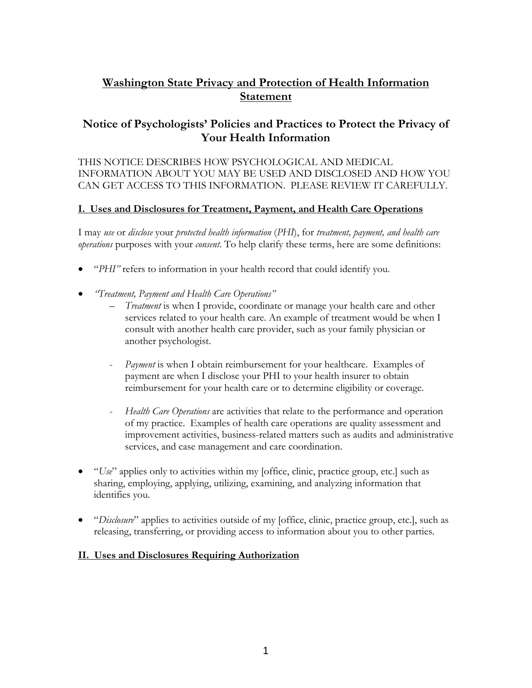# **Washington State Privacy and Protection of Health Information Statement**

## **Notice of Psychologists' Policies and Practices to Protect the Privacy of Your Health Information**

THIS NOTICE DESCRIBES HOW PSYCHOLOGICAL AND MEDICAL INFORMATION ABOUT YOU MAY BE USED AND DISCLOSED AND HOW YOU CAN GET ACCESS TO THIS INFORMATION. PLEASE REVIEW IT CAREFULLY.

#### **I. Uses and Disclosures for Treatment, Payment, and Health Care Operations**

I may *use* or *disclose* your *protected health information* (*PHI*), for *treatment, payment, and health care operations* purposes with your *consent*. To help clarify these terms, here are some definitions:

- "*PHI"* refers to information in your health record that could identify you.
- *"Treatment, Payment and Health Care Operations"*
	- *Treatment* is when I provide, coordinate or manage your health care and other services related to your health care. An example of treatment would be when I consult with another health care provider, such as your family physician or another psychologist.
	- *Payment* is when I obtain reimbursement for your healthcare. Examples of payment are when I disclose your PHI to your health insurer to obtain reimbursement for your health care or to determine eligibility or coverage.
	- *Health Care Operations* are activities that relate to the performance and operation of my practice. Examples of health care operations are quality assessment and improvement activities, business-related matters such as audits and administrative services, and case management and care coordination.
- "*Use*" applies only to activities within my [office, clinic, practice group, etc.] such as sharing, employing, applying, utilizing, examining, and analyzing information that identifies you.
- "*Disclosure*" applies to activities outside of my [office, clinic, practice group, etc.], such as releasing, transferring, or providing access to information about you to other parties.

#### **II. Uses and Disclosures Requiring Authorization**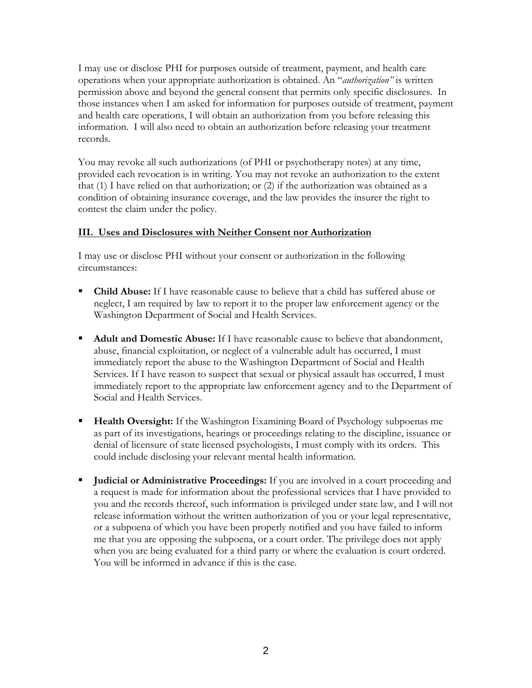I may use or disclose PHI for purposes outside of treatment, payment, and health care operations when your appropriate authorization is obtained. An "*authorization"* is written permission above and beyond the general consent that permits only specific disclosures. In those instances when I am asked for information for purposes outside of treatment, payment and health care operations, I will obtain an authorization from you before releasing this information. I will also need to obtain an authorization before releasing your treatment records.

You may revoke all such authorizations (of PHI or psychotherapy notes) at any time, provided each revocation is in writing. You may not revoke an authorization to the extent that (1) I have relied on that authorization; or (2) if the authorization was obtained as a condition of obtaining insurance coverage, and the law provides the insurer the right to contest the claim under the policy.

### **III. Uses and Disclosures with Neither Consent nor Authorization**

I may use or disclose PHI without your consent or authorization in the following circumstances:

- **Child Abuse:** If I have reasonable cause to believe that a child has suffered abuse or neglect, I am required by law to report it to the proper law enforcement agency or the Washington Department of Social and Health Services.
- **Adult and Domestic Abuse:** If I have reasonable cause to believe that abandonment, abuse, financial exploitation, or neglect of a vulnerable adult has occurred, I must immediately report the abuse to the Washington Department of Social and Health Services. If I have reason to suspect that sexual or physical assault has occurred, I must immediately report to the appropriate law enforcement agency and to the Department of Social and Health Services.
- **Health Oversight:** If the Washington Examining Board of Psychology subpoenas me as part of its investigations, hearings or proceedings relating to the discipline, issuance or denial of licensure of state licensed psychologists, I must comply with its orders. This could include disclosing your relevant mental health information.
- **Judicial or Administrative Proceedings:** If you are involved in a court proceeding and a request is made for information about the professional services that I have provided to you and the records thereof, such information is privileged under state law, and I will not release information without the written authorization of you or your legal representative, or a subpoena of which you have been properly notified and you have failed to inform me that you are opposing the subpoena, or a court order. The privilege does not apply when you are being evaluated for a third party or where the evaluation is court ordered. You will be informed in advance if this is the case.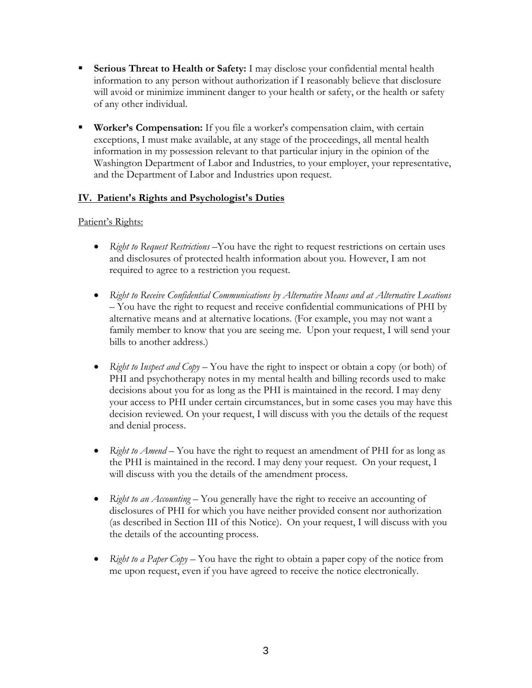- **Serious Threat to Health or Safety:** I may disclose your confidential mental health information to any person without authorization if I reasonably believe that disclosure will avoid or minimize imminent danger to your health or safety, or the health or safety of any other individual.
- **Worker's Compensation:** If you file a worker's compensation claim, with certain exceptions, I must make available, at any stage of the proceedings, all mental health information in my possession relevant to that particular injury in the opinion of the Washington Department of Labor and Industries, to your employer, your representative, and the Department of Labor and Industries upon request.

### **IV. Patient's Rights and Psychologist's Duties**

### Patient's Rights:

- *Right to Request Restrictions* You have the right to request restrictions on certain uses and disclosures of protected health information about you. However, I am not required to agree to a restriction you request.
- *Right to Receive Confidential Communications by Alternative Means and at Alternative Locations*  – You have the right to request and receive confidential communications of PHI by alternative means and at alternative locations. (For example, you may not want a family member to know that you are seeing me. Upon your request, I will send your bills to another address.)
- *Right to Inspect and Copy* You have the right to inspect or obtain a copy (or both) of PHI and psychotherapy notes in my mental health and billing records used to make decisions about you for as long as the PHI is maintained in the record. I may deny your access to PHI under certain circumstances, but in some cases you may have this decision reviewed. On your request, I will discuss with you the details of the request and denial process.
- *Right to Amend* You have the right to request an amendment of PHI for as long as the PHI is maintained in the record. I may deny your request. On your request, I will discuss with you the details of the amendment process.
- *Right to an Accounting* You generally have the right to receive an accounting of disclosures of PHI for which you have neither provided consent nor authorization (as described in Section III of this Notice). On your request, I will discuss with you the details of the accounting process.
- *Right to a Paper Copy* You have the right to obtain a paper copy of the notice from me upon request, even if you have agreed to receive the notice electronically.